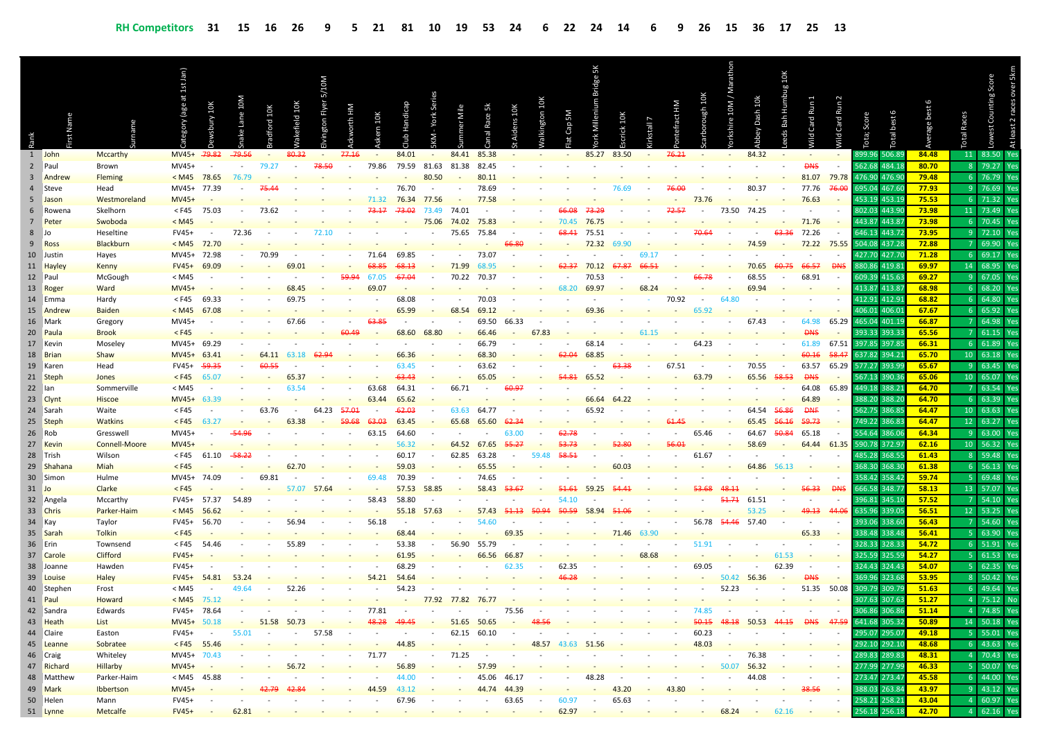|                         | Name                  |                        | at 1st Jan)<br>age) | ury 10K          | M0T      | dford 10K                               | cefield 10K              | S/10M<br>gton Flyer | orth HM                  | 10K                      |            |                          |                          |                          |                          |                          | ΜS               | ă<br>Viill     | 10K    | L<br>stall | ract HM | ough 10K                 | 10M/<br>shire            | Dash 10k                 | 10K<br>go<br>rhb<br>로<br>Bah | Card Run 1         | Card Run 2 | Score                   | best   | age            | Races          | Counting Score    | At least 2 races over 5kr |
|-------------------------|-----------------------|------------------------|---------------------|------------------|----------|-----------------------------------------|--------------------------|---------------------|--------------------------|--------------------------|------------|--------------------------|--------------------------|--------------------------|--------------------------|--------------------------|------------------|----------------|--------|------------|---------|--------------------------|--------------------------|--------------------------|------------------------------|--------------------|------------|-------------------------|--------|----------------|----------------|-------------------|---------------------------|
|                         |                       |                        |                     |                  |          |                                         |                          |                     |                          |                          |            |                          |                          |                          |                          |                          |                  |                |        |            |         |                          |                          |                          |                              | p                  | рı!        |                         |        |                | Total          | Lowest            |                           |
| 1                       | John                  | Mccarthy               | MV45+ 79.82         |                  | $-79.56$ | $\sim$                                  | 80.32                    | $\sim$              | 77.16                    | $\overline{\phantom{0}}$ | 84.01      | $\sim$                   | 84.41                    | 85.38                    |                          |                          |                  | 85.27          | 83.50  | $\sim$     | 76.21   | $\overline{\phantom{a}}$ | $\sim$                   | 84.32                    | $\sim$                       | $\sim$             |            | 899.96                  | 506.8  | 84.48          | 11             | 83.50             | Ye:                       |
| $\overline{2}$          | Paul                  | Brown                  | MV45+               |                  |          | 79.27                                   | $\blacksquare$           | 78.50               | $\overline{\phantom{a}}$ | 79.86                    | 79.59      | 81.63                    | 81.38                    | 82.45                    |                          | $\overline{\phantom{a}}$ | $\sim$           |                |        |            |         | $\blacksquare$           | $\sim$                   | $\blacksquare$           |                              | <b>DNS</b>         |            | 562.68                  | 484.1  | 80.70          | 8 <sup>1</sup> | 79.27             | Ye                        |
| $\overline{\mathbf{3}}$ | Andrew                | <b>Fleming</b>         | < M45               | 78.65            | 76.79    |                                         |                          |                     |                          |                          |            | 80.50                    |                          | 80.11                    |                          |                          |                  |                |        |            |         |                          |                          |                          |                              | 81.07              | 79.78      | 476.90                  | 476.9  | 79.48          |                | $6$ 76.79         | Ye                        |
|                         | 4 Steve               | Head                   | MV45+               | 77.39            |          |                                         |                          |                     |                          |                          | 76.70      | $\overline{\phantom{a}}$ |                          | 78.69                    |                          |                          |                  |                | 76.69  |            | 76.00   |                          |                          | 80.37                    |                              | 77.76              |            | 695.04                  | 467.6  | 77.93          | 9 <sup>1</sup> | 76.69             | Ye:                       |
|                         | 5 Jason               | Westmoreland           | $MVA5+$             |                  |          |                                         |                          |                     |                          | 71.32                    | 76.34      | 77.56                    |                          | 77.58                    |                          |                          |                  |                |        |            |         | 73.76                    |                          |                          |                              | 76.63              |            | 453.19                  | 453.1  | 75.53          |                | 6 71.32           | Ye                        |
| 6                       | Rowena                | Skelhorn               | < F45               | 75.03            |          | 73.62                                   |                          |                     |                          | 73.17                    | 73.02      | 73.49                    | 74.01                    |                          |                          |                          | 66.08            | 73.29          |        |            | 72.57   |                          | 73.50                    | 74.25                    |                              |                    |            | 802.03                  | 443.9  | 73.98          |                | 11 73.49          | Ye                        |
| 7                       | Peter                 | Swoboda                | < M45               |                  |          |                                         |                          |                     |                          |                          |            | 75.06                    | 74.02                    | 75.83                    |                          |                          | 70.45            | 76.75          |        |            |         |                          |                          |                          |                              | 71.76              |            | 443.87 443.8            |        | 73.98          | 6 <sup>1</sup> | 70.45             | Ye                        |
| 8 Jo                    |                       | Heseltine              | FV45+               |                  | 72.36    |                                         |                          | 72.10               |                          |                          |            |                          | 75.65                    | 75.84                    |                          |                          | <del>68.41</del> | 75.51          |        |            |         | 70.64                    |                          |                          | <del>63.36</del>             | 72.26              |            | 646.13                  | 443.7  | 73.95          | 9 <sup>1</sup> | 72.10             | Ye                        |
|                         | 9 Ross                | Blackburn              | < M45               | 72.70            |          |                                         |                          |                     |                          |                          |            |                          |                          |                          |                          |                          |                  | 72.32          | 69.90  |            |         |                          |                          | 74.59                    |                              | 72.22              | 75.55      | 504.08 437.2            |        | 72.88          |                | 69.90             | Ye                        |
|                         | 10 Justin             | Hayes                  | MV45+ 72.98         |                  |          | 70.99                                   |                          |                     |                          | 71.64                    | 69.85      |                          | $\overline{\phantom{a}}$ | 73.07                    |                          |                          |                  |                |        | 69.17      |         |                          |                          |                          |                              |                    |            | 427.70                  | 427.7  | 71.28          |                | 6 69.17           | Ye:                       |
|                         | 11 Hayley             | Kenny                  | $FV45+$             | 69.09            |          |                                         | 69.01                    |                     | 59.94                    |                          |            |                          | 71.99                    | 68.95                    |                          |                          |                  | 70.12          |        |            |         |                          |                          | 70.65<br>68.55           |                              | 66.57              | <b>DNS</b> | 380.86<br>609.39        | 419.8  | 69.97          | 9 <sup>1</sup> | 14 68.95<br>67.05 | Ye                        |
|                         | 12 Paul               | McGough                | < M45               |                  |          |                                         | 68.45                    |                     |                          | 67.05<br>69.07           | -67.04     |                          | 70.22                    | 70.37                    |                          |                          |                  | 70.53          |        |            |         |                          |                          |                          |                              | 68.91              |            | 413.87 413.8            | 415.6  | 69.27<br>68.98 | 6 <sup>1</sup> | 68.20             |                           |
|                         | 13 Roger              | Ward                   | <b>MV45+</b>        |                  |          |                                         | 69.75                    |                     |                          |                          | 68.08      |                          | $\overline{\phantom{a}}$ | 70.03                    |                          |                          | 68.20            | 69.97          |        | 68.24      |         |                          | 64.80                    | 69.94                    |                              |                    |            | 412.91                  | 412.9  | 68.82          | 6 <sup>1</sup> | 64.80             | Ye                        |
|                         | 14 Emma<br>15 Andrew  | Hardy<br><b>Baiden</b> | < F45<br>< M45      | 69.33<br>67.08   |          |                                         |                          |                     |                          |                          | 65.99      |                          | 68.54                    | 69.12                    |                          |                          |                  | 69.36          |        |            | 70.92   | 65 9:                    |                          |                          |                              |                    |            | 406.01 406.0            |        | 67.67          | 6 <sup>1</sup> | 65.92             |                           |
|                         | 16 Mark               | Gregory                | MV45+               |                  |          |                                         | 67.66                    |                     |                          | بع جھ                    |            |                          |                          | 69.50                    | 66.33                    |                          |                  |                |        |            |         |                          |                          | 67.43                    |                              | 64.98              | 65.29      | 465.04                  | 401.1  | 66.87          |                | 64.98             | Ye                        |
|                         | 20 Paula              | <b>Brook</b>           | $<$ F45             |                  |          |                                         |                          |                     |                          |                          | 68.60      | 68.80                    |                          | 66.46                    |                          | 67.83                    |                  |                |        | 61.15      |         |                          |                          |                          |                              | ANS                |            | 393.33                  | 393.3  | 65.56          |                | 61.15             | Ye                        |
|                         | 17 Kevin              | Moseley                | MV45+               | 69.29            |          |                                         |                          |                     |                          |                          |            |                          |                          | 66.79                    |                          |                          |                  | 68.14          |        |            |         | 64.23                    |                          |                          |                              | 61.89              | 67.51      | 397.85                  | 397.8  | 66.31          |                | 6 61.89           | Ye:                       |
|                         | 18 Brian              | Shaw                   | $MV45+$             | 63.41            |          | 64.11                                   | 63.18                    |                     |                          |                          | 66.36      |                          |                          | 68.30                    |                          |                          |                  | 68.85          |        |            |         |                          |                          |                          |                              | 60.16              | 58.47      | 637.82 394.2            |        | 65.70          |                | 10   63.18        | Ye:                       |
|                         | 19 Karen              | Head                   | FV45+               | <del>59.35</del> |          | 60.5                                    |                          |                     |                          |                          | 63.45      |                          |                          | 63.62                    |                          |                          |                  |                |        |            | 67.51   |                          |                          | 70.55                    |                              | 63.57              | 65.29      | 577.27                  | 393.9  | 65.67          | 9 <sup>1</sup> | 63.45             | Ye                        |
|                         | 21 Steph              | Jones                  | $<$ F45             | 65.07            |          |                                         | 65.37                    |                     |                          |                          |            |                          |                          | 65.05                    |                          |                          |                  | 65.52          |        |            |         | 63.79                    |                          | 65.56                    | 58.53                        | <b>DNS</b>         |            | 567.13 390.3            |        | 65.06          |                | 10 65.07          | Ye                        |
| 22 Ian                  |                       | Sommerville            | < M45               |                  |          |                                         | 63.54                    |                     |                          | 63.68                    | 64.31      | $\sim$                   | 66.71                    |                          | 60.97                    |                          |                  |                |        |            |         |                          |                          |                          |                              | 64.08              | 65.89      | 449.18                  | 388.2  | 64.70          |                | 63.54             | Ye                        |
|                         | 23 Clynt              | <b>Hiscoe</b>          | MV45+               | 63.39            |          |                                         |                          |                     |                          | 63.44                    | 65.62      |                          |                          |                          |                          |                          |                  | 66.64          | 64.22  |            |         |                          |                          |                          |                              | 64.89              |            | 388.20                  | 388.2  | 64.70          |                | $6 \quad 63.39$   | Ye                        |
|                         | 24 Sarah              | Waite                  | $<$ F45             |                  |          | 63.76                                   | $\sim$                   | 64.23               | 57.01                    |                          | -62.03     |                          | 63.63                    | 64.77                    |                          |                          |                  | 65.92          |        |            |         |                          |                          | 64.54                    | 56.86                        | <b>DNF</b>         |            | 562.75                  | 386.8  | 64.47          |                | 10   63.63        | Ye:                       |
|                         | 25 Steph              | <b>Watkins</b>         | $<$ F45             | 63.27            |          |                                         | 63.38                    |                     |                          | 63.03                    | 63.45      |                          | 65.68                    | 65.60                    |                          |                          |                  |                |        |            |         |                          |                          | 65.45                    |                              | 59.73              |            | 749.22 386.8            |        | 64.47          |                | 12 63.27          | Ye                        |
|                         | 26 Rob                | Gresswell              | MV45+               |                  |          |                                         |                          |                     |                          | 63.15                    | 64.60      |                          |                          |                          | 63.00                    |                          |                  |                |        |            |         | 65.46                    |                          | 64.67                    | 50.84                        | 65.18              |            | 554.64                  | 386.0  | 64.34          | 9 <sup>°</sup> | 63.00             | Ye                        |
|                         | 27 Kevin              | <b>Connell-Moore</b>   | $MVA5+$             |                  |          |                                         |                          |                     |                          |                          | 56.32      |                          | 64.52                    | 67.65                    | 55.27                    |                          |                  |                |        |            |         |                          |                          | 58.69                    |                              | 64.44              | 61.35      | 590.78 372.9            |        | 62.16          |                | 10 56.32          | Ye                        |
|                         | 28 Trish              | Wilson                 | < F45               | 61.10            |          |                                         |                          |                     |                          |                          | 60.17      |                          | 62.85                    | 63.28                    |                          | 59.48                    |                  |                |        |            |         | 61.67                    |                          |                          |                              |                    |            | 485.28                  | 368.5  | 61.43          |                | 8 59.48           | Ye                        |
|                         | 29 Shahana            | <b>Miah</b>            | $<$ F45             |                  |          |                                         | 62.                      |                     |                          |                          | 59.03      |                          |                          | 65.55                    |                          |                          |                  |                | 60.03  |            |         |                          |                          | 64.86                    | 56.13                        |                    |            | 368.30                  | 368.3  | 61.38          | 6 <sup>1</sup> | 56.13             | Ye                        |
|                         | 30 Simon              | Hulme                  | MV45+               | 74.09            |          | 69.81                                   |                          |                     |                          | 69.48                    | 70.39      |                          |                          | 74.65                    |                          |                          |                  |                |        |            |         |                          |                          |                          |                              |                    |            | 358.42                  | 358.4  | 59.74          | 5 <sub>1</sub> | 69.48             | Ye:                       |
| 31 Jo                   |                       | Clarke                 | $<$ F45             |                  |          |                                         | 57.07                    | 57.64               |                          |                          | 57.53      | 58.85                    |                          | 58.43                    |                          |                          |                  | 59.25          |        |            |         |                          |                          |                          |                              |                    | <b>DNS</b> | 66.58                   | 348.7  | 58.13          |                | 13 57.07          | Ye                        |
|                         | 32 Angela             | Mccarthy               | FV45+ 57.37         |                  | 54.89    |                                         |                          |                     |                          | 58.43                    | 58.80      |                          |                          |                          |                          |                          | 54.10            |                |        |            |         |                          |                          | 61.51                    |                              |                    |            | 396.81                  | 345.1  | 57.52          |                | 54.10             | Ye                        |
|                         | 33 Chris              | Parker-Haim            | < M45               | 56.62            |          |                                         |                          |                     |                          |                          | 55.18      | 57.63                    |                          | 57.43                    | 51.13                    |                          | 50.59            | 58.94          |        |            |         |                          |                          | 53.25                    |                              | 49.13              |            | 635.96 339.0            |        | 56.51          |                | 12 53.25          | Ye                        |
|                         | 34 Kay                | Taylor                 | FV45+               | 56.70            |          |                                         | 56.94                    |                     |                          | 56.18                    |            |                          |                          | 54.60                    |                          |                          |                  |                |        |            |         | 56.78                    | 54.46                    | 57.40                    |                              |                    |            | 393.06                  | 338.6  | 56.43          |                | 54.60             | Ye                        |
|                         | 35 Sarah              | <b>Tolkin</b>          | $<$ F45             |                  |          |                                         |                          |                     |                          |                          | 68.44      |                          |                          |                          | 69.35                    |                          |                  |                | 71.46  |            |         |                          |                          |                          |                              | 65.33              |            | 338.48 338.48           |        | 56.41          | 5 <sup>1</sup> | 63.90             |                           |
|                         | 36 Erin               | Townsend               | < F45               | 54.46            |          |                                         | 55.89                    |                     |                          |                          | 53.38      |                          | 56.90                    | 55.79                    |                          |                          |                  |                |        |            |         | 51.91                    |                          |                          |                              |                    |            | 328.33                  | 328.33 | 54.72          |                | 6 51.91           | Ye                        |
|                         | 37 Carole             | <b>Clifford</b>        | $FV45+$             |                  |          |                                         |                          |                     |                          |                          | 61.95      |                          |                          | 66.56                    | 66.8                     |                          |                  |                |        | 68.68      |         |                          |                          |                          | 61.53                        |                    |            | 325.59                  | 325.59 | 54.27          | 5 <sup>1</sup> | 61.53             | Ye                        |
|                         | 38 Joanne             | Hawden                 | FV45+               |                  |          |                                         |                          |                     |                          |                          | 68.29      |                          |                          |                          | 62.35                    |                          | 62.35            |                |        |            |         | 69.05                    |                          |                          | 62.39                        |                    |            | 324.43<br>369.96 323.68 | 324.4  | 54.07          | 5 <sup>1</sup> | 62.35<br>8 50.42  | Ye                        |
|                         | 39 Louise             | <b>Haley</b>           | $FV45+$             | 54.81            | 53.24    |                                         |                          |                     |                          | 54.21                    | 54.64      |                          |                          |                          |                          |                          |                  |                |        |            |         |                          | 50.42                    | 56.36                    |                              | <b>DNS</b>         |            | 309.79                  |        | 53.95<br>51.63 | 6 <sup>1</sup> | 49.64             | Ye:<br>Ye                 |
|                         | 40 Stephen<br>41 Paul | Frost                  | < M45<br>< M45      | 75.12            | 49.64    |                                         | 52.26                    |                     |                          |                          | 54.23      |                          | 77.82                    | 76.77                    |                          |                          |                  |                |        |            |         |                          | 52.23                    |                          |                              | 51.35              | 50.08      | 307.63 307.63           | 309.7  | 51.27          |                | 4 75.12           | N <sub>c</sub>            |
|                         | 42 Sandra             | Howard<br>Edwards      | FV45+               | 78.64            |          |                                         |                          |                     |                          | 77.81                    |            | 77.92                    |                          |                          |                          |                          |                  |                |        |            |         |                          |                          |                          |                              |                    |            |                         |        | 51.14          |                | 4 74.85           |                           |
| 43                      | Heath                 | List                   | MV45+ 50.18         |                  | $\sim$   | 51.58                                   | 50.73                    |                     |                          |                          |            |                          | 51.65                    | 50.65                    |                          |                          |                  |                |        |            |         |                          |                          |                          |                              | <b>DNS</b>         |            | 641.68 305.32           |        | 50.89          |                | 14 50.18 Yes      |                           |
|                         | 44 Claire             | Easton                 | FV45+               | $\sim$           | 55.01    | $\sim$                                  | $\sim$                   | 57.58               |                          |                          |            | $\overline{\phantom{a}}$ |                          | 62.15 60.10              | $\sim$                   |                          |                  |                |        |            |         | 60.23                    |                          | 50.53                    | 44.15                        |                    |            | 295.07 295.07           |        | 49.18          |                | 5 55.01 Yes       |                           |
|                         | 45 Leanne             | Sobratee               | $<$ F45 55.46       |                  |          |                                         |                          |                     |                          |                          | 44.85      | $\sim$                   | $\overline{\phantom{a}}$ | $\overline{\phantom{a}}$ | $\sim$                   | 48.57                    |                  | 43.63 51.56    |        |            |         | 48.03                    | $\sim$                   | $\overline{\phantom{a}}$ | $\overline{\phantom{a}}$     | $\sim$             |            | 292.10 292.10           |        | 48.68          |                | 6 43.63 Yes       |                           |
|                         | 46 Craig              | Whiteley               | MV45+ 70.43         |                  |          |                                         | $\overline{\phantom{a}}$ |                     | $\sim$                   | 71.77                    | $\sim$     | $\sim$                   | 71.25                    | $\sim$                   | $\sim$                   | $\sim$                   |                  |                |        |            | $\sim$  | $\overline{\phantom{a}}$ | $\overline{\phantom{a}}$ | 76.38                    | $\sim$                       | $\sim$             |            | 289.83 289.83           |        | 48.31          |                | 4 70.43 Yes       |                           |
|                         | 47 Richard            | Hillarby               | MV45+               | $\sim$           |          |                                         | 56.72                    |                     |                          |                          | 56.89      | $\sim$                   | $\overline{\phantom{a}}$ | 57.99                    | $\overline{\phantom{a}}$ |                          |                  |                |        |            |         |                          | 50.07                    | 56.32                    | $\overline{\phantom{a}}$     | $\sim$             |            | 277.99 277.99           |        | 46.33          |                | 5 50.07 Yes       |                           |
|                         | 48 Matthew            | Parker-Haim            | < M45               | 45.88            |          |                                         | $\sim$                   |                     |                          | $\sim$                   | 44.00      | $\overline{\phantom{a}}$ | $\sim$                   | 45.06                    | 46.17                    | $\sim$                   | $\sim$           | 48.28          |        |            | $\sim$  | $\overline{\phantom{a}}$ | $\overline{\phantom{a}}$ | 44.08                    | $\blacksquare$               | $\sim$             |            | 273.47 273.47           |        | 45.58          |                | 6 44.00 Yes       |                           |
|                         | 49 Mark               | Ibbertson              | <b>MV45+</b>        |                  |          | 42.79                                   | 42.84                    |                     |                          | 44.59                    | 43.12      | $\sim$                   | $\overline{\phantom{a}}$ |                          | 44.74 44.39              | $\sim$                   | $\sim$           |                | 43.20  | $\sim$     | 43.80   |                          |                          |                          | $\sim$                       | 38.56              | $\sim 100$ | 388.03 263.84           |        | 43.97          |                | 9 43.12 Yes       |                           |
|                         | 50 Helen              | Mann                   | FV45+               |                  | $\sim$   |                                         |                          |                     | $\overline{\phantom{a}}$ | $\sim$                   | 67.96      | $\sim$                   | $\sim$                   | $\sim$                   | 63.65                    | $\sim$                   | 60.97            | $\sim$         | 65.63  | $\sim$     | $\sim$  | $\blacksquare$           | $\overline{\phantom{a}}$ | $\overline{\phantom{a}}$ | $\sim$                       | $\sim$             |            | 258.21 258.21           |        | 43.04          |                | 4 60.97 Yes       |                           |
|                         | 51 Lynne              | Metcalfe               | $FV45+$             | $\sim 100$       | 62.81    | $\mathcal{L} = \{ \mathcal{L} \}$ , and | $\sim 10^{-10}$          | $\sim$ 10 $\pm$     | $\sim$                   | $\sim$                   | $\sim 100$ | $\sim 100$ km s $^{-1}$  | $\sim 10^{-1}$           | $\sim$                   | $\sim 10^{-10}$          | $\sim 100$               | 62.97            | $\sim 10^{-1}$ | $\sim$ | $\sim$ $-$ | $\sim$  | ◆                        | 68.24                    | $\sim 100$               | 62.16                        | <b>State State</b> |            | 256.18 256.18           |        | 42.70          |                | 4 62.16 Yes       |                           |
|                         |                       |                        |                     |                  |          |                                         |                          |                     |                          |                          |            |                          |                          |                          |                          |                          |                  |                |        |            |         |                          |                          |                          |                              |                    |            |                         |        |                |                |                   |                           |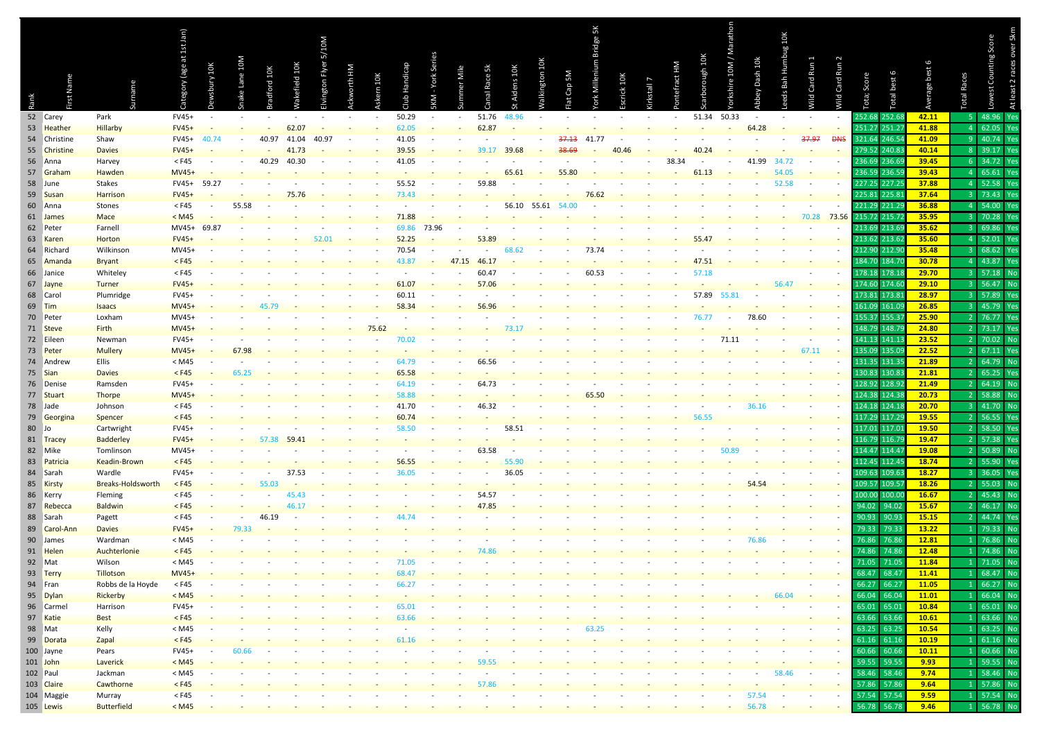|       |                      |                               | (age at 1st Jan) |        |          |        |          |           |   |     |       |       |       |         |         |          |        | rdge 5K |         |          |           |          | athon       |                          | 10K                                    |                |                          |                               |               |                |                                  | At least 2 races over 5km |
|-------|----------------------|-------------------------------|------------------|--------|----------|--------|----------|-----------|---|-----|-------|-------|-------|---------|---------|----------|--------|---------|---------|----------|-----------|----------|-------------|--------------------------|----------------------------------------|----------------|--------------------------|-------------------------------|---------------|----------------|----------------------------------|---------------------------|
|       |                      |                               |                  |        |          |        |          | 5/10M     |   |     |       |       |       |         |         |          |        |         |         |          |           |          |             |                          |                                        |                |                          |                               |               |                |                                  | est Counting Score        |
|       |                      |                               |                  |        |          |        |          |           |   |     |       |       |       |         |         |          |        |         |         |          |           |          |             |                          |                                        |                |                          |                               |               |                |                                  |                           |
|       |                      |                               |                  | $10K$  |          |        |          |           |   |     |       |       |       |         |         |          |        |         |         |          |           | ough 10K |             |                          | Humbug                                 |                |                          |                               |               |                |                                  |                           |
|       |                      |                               | ory              | iry:   | Lane 10M | rd 10K | ield 10K | ía<br>Fly | ÷ | 10K |       |       |       | Race 5k | ins 10K | ngton 10 | Cap 5M |         | ick 10K |          | efract HM |          | shire 10M / | Dash 10k                 | Bah                                    | Card Run       |                          |                               | best 6        |                | <b>Races</b>                     |                           |
|       |                      | name                          |                  |        |          |        |          |           |   |     |       |       |       |         |         |          |        |         |         | kstall 7 |           |          |             |                          | eds                                    |                |                          |                               |               |                |                                  |                           |
| Rank  |                      |                               |                  |        |          |        |          |           |   |     |       |       |       |         |         |          |        |         |         |          |           |          |             |                          |                                        | Mild           | <b>Wild Card Run 2</b>   | Tota; Score                   | letal         |                | Total                            | ą                         |
|       | 52 Carey             | Park                          | FV45+            | $\sim$ | $\sim$   |        |          |           |   |     | 50.29 |       |       | 51.76   | 48.96   |          |        |         |         |          | $\sim$    | 51.34    | 50.33       | $\overline{\phantom{a}}$ |                                        | $\blacksquare$ | $\sim$                   | 252.68 252.68                 |               | 42.11          | -5.                              | Yes<br>48.96              |
|       | 53 Heather           | Hillarby                      | $FV45+$          |        |          |        | 62.07    |           |   |     | 62.05 |       |       | 62.87   |         |          |        |         |         |          |           |          |             | 64.28                    |                                        |                |                          | 251.27                        | 251.27        | 41.88          | $\overline{4}$                   | 62.05                     |
|       | 54 Christine         | Shaw                          | FV45+            |        |          | 40.97  | 41.04    | 40.97     |   |     | 41.05 |       |       |         |         |          | 37.13  | 41.77   |         |          |           |          |             |                          |                                        | 37.97          | <b>DNS</b>               | 321.64 246.54                 |               | 41.09          | -9                               | 40.74<br>Yes              |
|       | 55 Christine         | <b>Davies</b>                 | $FV45+$          |        |          |        | 41.73    |           |   |     | 39.55 |       |       | 39.17   | 39.68   |          |        |         | 40 46   |          |           | 40.24    |             |                          |                                        |                |                          | 279.52 240.83                 |               | 40.14          | 8 <sup>°</sup>                   | 39.17                     |
|       | 56 Anna              | Harvey                        | $<$ F45          |        |          | 40.29  | 40.30    |           |   |     | 41.05 |       |       |         |         |          |        |         |         |          | 38.34     |          |             | 41.99                    |                                        |                |                          | 236.69                        | 236.69        | 39.45          | 6                                | 34.72                     |
|       | 57 Graham            | Hawden                        | MV45+            |        |          |        |          |           |   |     |       |       |       |         | 65.61   |          |        |         |         |          |           | 61.13    |             |                          |                                        |                |                          |                               | 236.59 236.59 | 39.43          | 4 <sup>1</sup>                   | 65.61                     |
|       | 58 June              | Stakes                        | FV45+            | 59.27  |          |        |          |           |   |     | 55.52 |       |       | 59.88   |         |          |        |         |         |          |           |          |             |                          | 52.58                                  |                |                          | 227.25                        | 227.25        | 37.88          | 4 <sup>1</sup>                   | 52.58                     |
|       | 59 Susan             | Harrison                      | $FV45+$          |        |          |        |          |           |   |     | 73.43 |       |       |         |         |          |        | 76.62   |         |          |           |          |             |                          |                                        |                |                          |                               | 225.81 225.81 | 37.64          | 3                                | 73.43                     |
|       | 60 Anna              | Stones                        | $<$ F45          |        | 55.58    |        |          |           |   |     |       |       |       |         | 56.10   | 55.61    |        |         |         |          |           |          |             |                          |                                        |                |                          | 221.29 221.29                 |               | 36.88          | 4                                | 54.00                     |
|       | 61 James             | <b>Mace</b>                   | < M45            |        |          |        |          |           |   |     |       |       |       |         |         |          |        |         |         |          |           |          |             |                          |                                        | 70.28          | 73.56                    | 215.72 215.72                 |               | 35.95          | 3                                | 70.28                     |
|       | 62 Peter             | Farnell                       | MV45+            | 69.87  |          |        |          |           |   |     |       | 73.96 |       |         |         |          |        |         |         |          |           |          |             |                          |                                        |                |                          |                               | 213.69 213.69 | 35.62          | 3                                | 69.86                     |
|       | 63 Karen             | <b>Horton</b>                 | $FV45+$          |        |          |        |          |           |   |     | 52.25 |       |       |         |         |          |        |         |         |          |           |          |             |                          |                                        |                |                          |                               | 213.62 213.62 | 35.60          | 4                                | 52.01                     |
|       | 64 Richard           | Wilkinson                     | MV45+            |        |          |        |          |           |   |     | 70.54 |       |       |         |         |          |        | 73.7    |         |          |           |          |             |                          |                                        |                |                          | 212.90 212.90                 |               | 35.48          | з.                               | 68.62                     |
|       | 65 Amanda            | <b>Bryant</b>                 | $<$ F45          |        |          |        |          |           |   |     |       |       | 47.15 |         |         |          |        |         |         |          |           |          |             |                          |                                        |                |                          | 184.70 184.70                 |               | 30.78          | 4                                | 43.87<br>Yes              |
|       | 66 Janice            | Whiteley                      | $<$ F45          |        |          |        |          |           |   |     |       |       |       | 60.4    |         |          |        | 60.53   |         |          |           | 57.      |             |                          |                                        |                |                          | 178.18 178.18                 |               | 29.70          | 3                                | 57.18<br><b>No</b>        |
|       | 67 Jayne             | <b>Turner</b>                 | $FV45+$          |        |          |        |          |           |   |     |       |       |       | 57.06   |         |          |        |         |         |          |           |          |             |                          |                                        |                |                          | 174.60 174.60                 |               | 29.10          | 3                                | 56.47<br><b>No</b>        |
|       | 68 Carol             | Plumridge                     | FV45+            |        |          |        |          |           |   |     | 60.1  |       |       |         |         |          |        |         |         |          |           | 57.89    | 55.8        |                          |                                        |                |                          | 173.81 173.81                 |               | 28.97          | з.                               | 57.89                     |
|       | 69 Tim               | <b>Isaacs</b>                 | MV45+            |        |          |        |          |           |   |     | 58.34 |       |       |         |         |          |        |         |         |          |           |          |             |                          |                                        |                |                          | 161.09 161.09                 |               | 26.85          | 3                                | 45.79                     |
|       | 70 Peter             | Loxham                        | MV45+            |        |          |        |          |           |   |     |       |       |       |         |         |          |        |         |         |          |           |          |             | 78.60                    |                                        |                |                          | 155.37                        | 155.37        | 25.90          | $\overline{2}$                   | 76.77                     |
|       | 71 Steve             | <b>Firth</b>                  | MV45+            |        |          |        |          |           |   |     |       |       |       |         |         |          |        |         |         |          |           |          |             |                          |                                        |                |                          | 148.79 148.79                 |               | 24.80          |                                  | 73.17                     |
|       | 72 Eileen            | Newman                        | FV45+            |        |          |        |          |           |   |     |       |       |       |         |         |          |        |         |         |          |           |          | 71.11       |                          |                                        |                |                          | 141.13                        | 141.1         | 23.52          | 2                                | <b>No</b><br>70.02        |
|       | 73 Peter             | <b>Mullery</b>                | MV45+            |        | 67.98    |        |          |           |   |     |       |       |       |         |         |          |        |         |         |          |           |          |             |                          |                                        | 67.11          |                          |                               | 135.09 135.09 | 22.52          | 2                                | 67.11<br>Yes              |
|       | 74 Andrew            | Ellis                         | < M45            |        |          |        |          |           |   |     |       |       |       |         |         |          |        |         |         |          |           |          |             |                          |                                        |                |                          | 131.35                        | 131.35        | 21.89          | $\overline{2}$                   | 64.79<br>No               |
|       | 75 Sian              | <b>Davies</b>                 | $<$ F45          |        | 65.25    |        |          |           |   |     | 65.58 |       |       |         |         |          |        |         |         |          |           |          |             |                          |                                        |                |                          | 130.83                        | 130.83        | 21.81          | $\overline{2}$                   | 65.25<br>Yes              |
|       | 76 Denise            | Ramsden                       | FV45+            |        |          |        |          |           |   |     |       |       |       | 64.73   |         |          |        |         |         |          |           |          |             |                          |                                        |                |                          | 128.92                        | 128.92        | 21.49          | $\overline{2}$                   | 64.19<br><b>No</b>        |
|       | 77 Stuart            | <b>Thorpe</b>                 | MV45+            |        |          |        |          |           |   |     |       |       |       |         |         |          |        |         |         |          |           |          |             |                          |                                        |                |                          | 124.38 124.38                 |               | 20.73          | 2 <sup>1</sup>                   | 58.88<br><b>No</b>        |
|       | 78 Jade              | Johnson                       | $<$ F45          |        |          |        |          |           |   |     | 41.70 |       |       |         |         |          |        |         |         |          |           |          |             |                          |                                        |                |                          | 124.18                        | 124.18        | 20.70          | 3                                | 41.70<br><b>No</b>        |
|       | 79 Georgina          | Spencer                       | $<$ F45          |        |          |        |          |           |   |     | 60.74 |       |       |         | 58.5    |          |        |         |         |          |           |          |             |                          |                                        |                |                          | 117.29 117.29                 |               | 19.55<br>19.50 | $\overline{2}$<br>$\overline{2}$ | 56.55<br>Yes<br>58.50     |
| 80 Jo |                      | Cartwright                    | FV45+            |        |          |        |          |           |   |     |       |       |       |         |         |          |        |         |         |          |           |          |             |                          |                                        |                |                          | 117.01 117.0<br>116.79 116.79 |               | 19.47          | 2 <sup>1</sup>                   | Yes<br>57.38<br>Yes       |
|       | 81 Tracey<br>82 Mike | <b>Badderley</b><br>Tomlinson | $FV45+$<br>MV45+ |        |          |        |          |           |   |     |       |       |       | 63 5.   |         |          |        |         |         |          |           |          |             |                          |                                        |                |                          | 114.47                        | 114.4         | 19.08          | $\overline{2}$                   | 50.89<br>No               |
|       | 83 Patricia          | <b>Keadin-Brown</b>           | $<$ F45          |        |          |        |          |           |   |     | 56.55 |       |       |         |         |          |        |         |         |          |           |          |             |                          |                                        |                |                          | 112.45 112.45                 |               | 18.74          | $\overline{2}$                   | 55.90                     |
|       | 84 Sarah             | Wardle                        | FV45+            |        |          |        | -37      |           |   |     |       |       |       |         | 36 O'   |          |        |         |         |          |           |          |             |                          |                                        |                |                          | 109.63                        | 109.63        | 18.27          | 3                                | 36.05<br>Yes              |
|       | 85 Kirsty            | Breaks-Holdsworth             | $<$ F45          |        |          | 55.03  |          |           |   |     |       |       |       |         |         |          |        |         |         |          |           |          |             |                          |                                        |                |                          | 109.57                        | 109.5         | 18.26          | 2 <sup>1</sup>                   | 55.03<br><b>No</b>        |
|       | 86 Kerry             | Fleming                       | $<$ F45          |        |          |        |          |           |   |     |       |       |       |         |         |          |        |         |         |          |           |          |             |                          |                                        |                |                          | 100.00                        | 100.00        | 16.67          | $\overline{2}$                   | 45.43<br><b>No</b>        |
|       | 87 Rebecca           | <b>Baldwin</b>                | $<$ F45          |        |          |        |          |           |   |     |       |       |       |         |         |          |        |         |         |          |           |          |             |                          |                                        |                |                          | 94.02                         | 94.02         | 15.67          | $\overline{2}$                   | 46.17<br><b>No</b>        |
|       | 88 Sarah             | Pagett                        | $<$ F45          |        |          |        |          |           |   |     |       |       |       |         |         |          |        |         |         |          |           |          |             |                          |                                        |                |                          | 90.93                         | 90.93         | 15.15          | $\mathcal{L}$                    | 44.74                     |
|       | 89 Carol-Ann         | <b>Davies</b>                 | $FV45+$          |        | 79.33    |        |          |           |   |     |       |       |       |         |         |          |        |         |         |          |           |          |             |                          |                                        |                |                          | 79.33                         | 79.33         | 13.22          | 1.                               | 79.33<br><b>No</b>        |
|       | 90 James             | Wardman                       | $<$ M45          |        |          |        |          |           |   |     |       |       |       |         |         |          |        |         |         |          |           |          |             |                          |                                        |                |                          | 76.86                         | 76.86         | 12.81          | 1.                               | 76.86<br>No               |
|       | 91 Helen             | Auchterlonie                  | $<$ F45          |        |          |        |          |           |   |     |       |       |       |         |         |          |        |         |         |          |           |          |             |                          |                                        |                |                          | 74.86                         | 74.86         | 12.48          | 1.                               | 74.86<br><b>No</b>        |
|       | 92 Mat               | Wilson                        | < M45            |        |          |        |          |           |   |     |       |       |       |         |         |          |        |         |         |          |           |          |             |                          |                                        |                |                          | 71.05                         | 71.05         | 11.84          |                                  | <b>No</b><br>71.05        |
|       | 93 Terry             | <b>Tillotson</b>              | $MVA5+$          |        |          |        |          |           |   |     |       |       |       |         |         |          |        |         |         |          |           |          |             |                          |                                        |                |                          | 68.47 68.47                   |               | <b>11.41</b>   |                                  | $68.47$ No                |
|       | 94 Fran              | Robbs de la Hoyde             | $<$ F45          |        |          |        |          |           |   |     |       |       |       |         |         |          |        |         |         |          |           |          |             |                          |                                        |                |                          | 66.27                         | 66.27         | 11.05          | 1 <sup>1</sup>                   | 66.27<br>No               |
|       | 95 Dylan             | Rickerby                      | < M45            |        |          |        |          |           |   |     |       |       |       |         |         |          |        |         |         |          |           |          |             |                          | 66.04                                  | $\sim$         | $\overline{\phantom{a}}$ | 66.04 66.04                   |               | 11.01          | 1 <sup>1</sup>                   | 66.04 No                  |
|       | 96 Carmel            | Harrison                      | FV45+            |        |          |        |          |           |   |     | 65.01 |       |       |         |         |          |        |         |         |          |           |          |             |                          |                                        |                |                          | 65.01                         | 65.01         | 10.84          | 1                                | 65.01<br>No               |
|       | 97 Katie             | <b>Best</b>                   | $<$ F45          |        |          |        |          |           |   |     | 63.66 |       |       |         |         |          |        |         |         |          |           |          |             |                          |                                        |                |                          | 63.66                         | 63.66         | 10.61          | 1                                | 63.66<br>No               |
|       | 98 Mat               | Kelly                         | $<$ M45          |        |          |        |          |           |   |     |       |       |       |         |         |          |        | 63 2    |         |          |           |          |             |                          |                                        |                |                          | 63.25                         | 63.25         | 10.54          | 1                                | 63.25<br>No               |
|       | 99 Dorata            | Zapal                         | $<$ F45          |        |          |        |          |           |   |     |       |       |       |         |         |          |        |         |         |          |           |          |             |                          |                                        |                |                          |                               | 61.16 61.16   | 10.19          | 1                                | 61.16 No                  |
|       | 100 Jayne            | Pears                         | FV45+            |        | 60.66    |        |          |           |   |     |       |       |       |         |         |          |        |         |         |          |           |          |             |                          |                                        |                |                          | 60.66                         | 60.66         | 10.11          | 1 <sup>1</sup>                   | 60.66<br>No               |
|       | 101 John             | Laverick                      | < M45            |        |          |        |          |           |   |     |       |       |       | 59 55   |         |          |        |         |         |          |           |          |             |                          |                                        |                | $\overline{\phantom{a}}$ | 59.55                         | 59.55         | 9.93           | 1 <sup>1</sup>                   | 59.55<br>No               |
|       | 102 Paul             | Jackman                       | $<$ M45          |        |          |        |          |           |   |     |       |       |       |         |         |          |        |         |         |          |           |          |             |                          | 58.46                                  | $\sim$         |                          | 58.46                         | 58.46         | 9.74           | 1                                | 58.46<br>No               |
|       | 103 Claire           | Cawthorne                     | $<$ F45          |        |          |        |          |           |   |     |       |       |       |         |         |          |        |         |         |          |           |          |             | 57.54                    |                                        | $\sim$         |                          |                               | 57.86 57.86   | 9.64<br>9.59   | 1                                | 57.86 No                  |
|       | 104 Maggie           | Murray<br><b>Butterfield</b>  | $<$ F45<br>< M45 |        |          |        |          |           |   |     |       |       |       |         |         |          |        |         |         |          |           |          |             | 56.78                    | $\overline{\phantom{a}}$<br>$\sim 100$ | $\sim$         |                          | 57.54                         | 57.54         | 9.46           |                                  | 1 57.54 No<br>1 56.78 No  |
|       | 105 Lewis            |                               |                  |        |          |        |          |           |   |     |       |       |       |         |         |          |        |         |         |          |           |          |             |                          |                                        |                |                          |                               | 56.78 56.78   |                |                                  |                           |